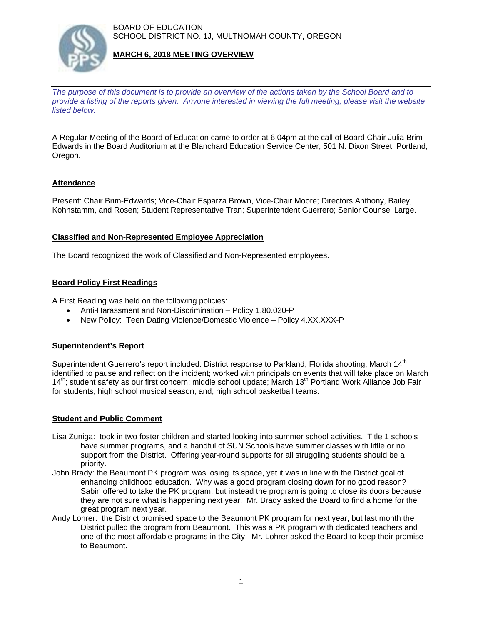BOARD OF EDUCATION SCHOOL DISTRICT NO. 1J, MULTNOMAH COUNTY, OREGON



## **MARCH 6, 2018 MEETING OVERVIEW**

*The purpose of this document is to provide an overview of the actions taken by the School Board and to provide a listing of the reports given. Anyone interested in viewing the full meeting, please visit the website listed below.*

A Regular Meeting of the Board of Education came to order at 6:04pm at the call of Board Chair Julia Brim-Edwards in the Board Auditorium at the Blanchard Education Service Center, 501 N. Dixon Street, Portland, Oregon.

### **Attendance**

Present: Chair Brim-Edwards; Vice-Chair Esparza Brown, Vice-Chair Moore; Directors Anthony, Bailey, Kohnstamm, and Rosen; Student Representative Tran; Superintendent Guerrero; Senior Counsel Large.

### **Classified and Non-Represented Employee Appreciation**

The Board recognized the work of Classified and Non-Represented employees.

# **Board Policy First Readings**

A First Reading was held on the following policies:

- Anti-Harassment and Non-Discrimination Policy 1.80.020-P
- New Policy: Teen Dating Violence/Domestic Violence Policy 4.XX.XXX-P

### **Superintendent's Report**

Superintendent Guerrero's report included: District response to Parkland, Florida shooting; March 14<sup>th</sup> identified to pause and reflect on the incident; worked with principals on events that will take place on March 14<sup>th</sup>; student safety as our first concern; middle school update; March 13<sup>th</sup> Portland Work Alliance Job Fair for students; high school musical season; and, high school basketball teams.

### **Student and Public Comment**

- Lisa Zuniga: took in two foster children and started looking into summer school activities. Title 1 schools have summer programs, and a handful of SUN Schools have summer classes with little or no support from the District. Offering year-round supports for all struggling students should be a priority.
- John Brady: the Beaumont PK program was losing its space, yet it was in line with the District goal of enhancing childhood education. Why was a good program closing down for no good reason? Sabin offered to take the PK program, but instead the program is going to close its doors because they are not sure what is happening next year. Mr. Brady asked the Board to find a home for the great program next year.
- Andy Lohrer: the District promised space to the Beaumont PK program for next year, but last month the District pulled the program from Beaumont. This was a PK program with dedicated teachers and one of the most affordable programs in the City. Mr. Lohrer asked the Board to keep their promise to Beaumont.